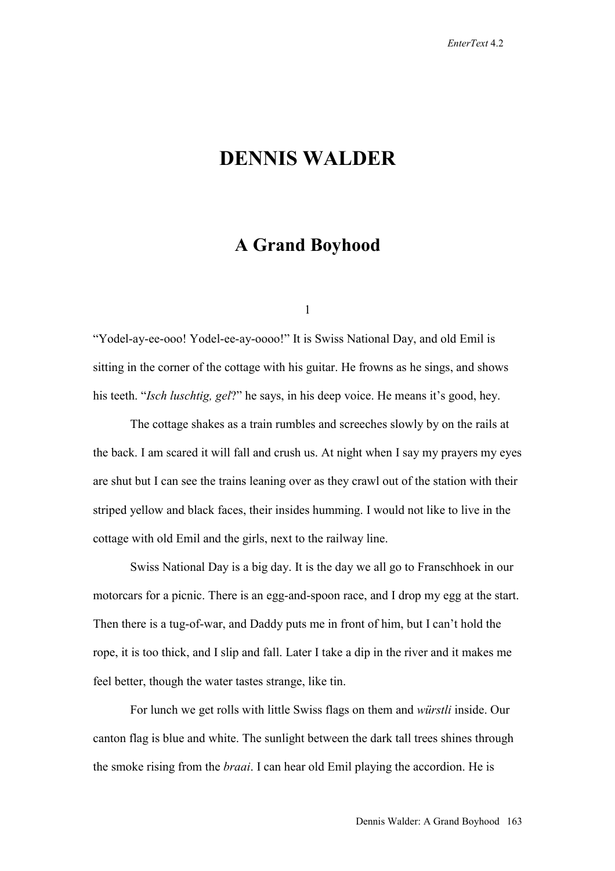## **DENNIS WALDER**

## **A Grand Boyhood**

1

"Yodel-ay-ee-ooo! Yodel-ee-ay-oooo!" It is Swiss National Day, and old Emil is sitting in the corner of the cottage with his guitar. He frowns as he sings, and shows his teeth. "*Isch luschtig, gel*?" he says, in his deep voice. He means it's good, hey.

The cottage shakes as a train rumbles and screeches slowly by on the rails at the back. I am scared it will fall and crush us. At night when I say my prayers my eyes are shut but I can see the trains leaning over as they crawl out of the station with their striped yellow and black faces, their insides humming. I would not like to live in the cottage with old Emil and the girls, next to the railway line.

Swiss National Day is a big day. It is the day we all go to Franschhoek in our motorcars for a picnic. There is an egg-and-spoon race, and I drop my egg at the start. Then there is a tug-of-war, and Daddy puts me in front of him, but I can't hold the rope, it is too thick, and I slip and fall. Later I take a dip in the river and it makes me feel better, though the water tastes strange, like tin.

For lunch we get rolls with little Swiss flags on them and *würstli* inside. Our canton flag is blue and white. The sunlight between the dark tall trees shines through the smoke rising from the *braai*. I can hear old Emil playing the accordion. He is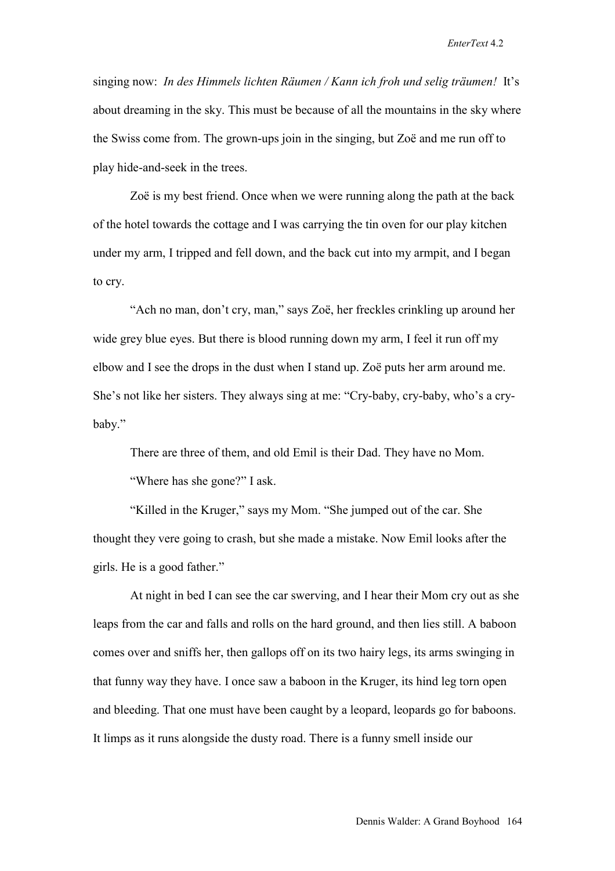singing now: *In des Himmels lichten Räumen / Kann ich froh und selig träumen!* It's about dreaming in the sky. This must be because of all the mountains in the sky where the Swiss come from. The grown-ups join in the singing, but Zoë and me run off to play hide-and-seek in the trees.

Zoë is my best friend. Once when we were running along the path at the back of the hotel towards the cottage and I was carrying the tin oven for our play kitchen under my arm, I tripped and fell down, and the back cut into my armpit, and I began to cry.

"Ach no man, don't cry, man," says Zoë, her freckles crinkling up around her wide grey blue eyes. But there is blood running down my arm, I feel it run off my elbow and I see the drops in the dust when I stand up. Zoë puts her arm around me. She's not like her sisters. They always sing at me: "Cry-baby, cry-baby, who's a crybaby."

There are three of them, and old Emil is their Dad. They have no Mom.

"Where has she gone?" I ask.

"Killed in the Kruger," says my Mom. "She jumped out of the car. She thought they vere going to crash, but she made a mistake. Now Emil looks after the girls. He is a good father."

At night in bed I can see the car swerving, and I hear their Mom cry out as she leaps from the car and falls and rolls on the hard ground, and then lies still. A baboon comes over and sniffs her, then gallops off on its two hairy legs, its arms swinging in that funny way they have. I once saw a baboon in the Kruger, its hind leg torn open and bleeding. That one must have been caught by a leopard, leopards go for baboons. It limps as it runs alongside the dusty road. There is a funny smell inside our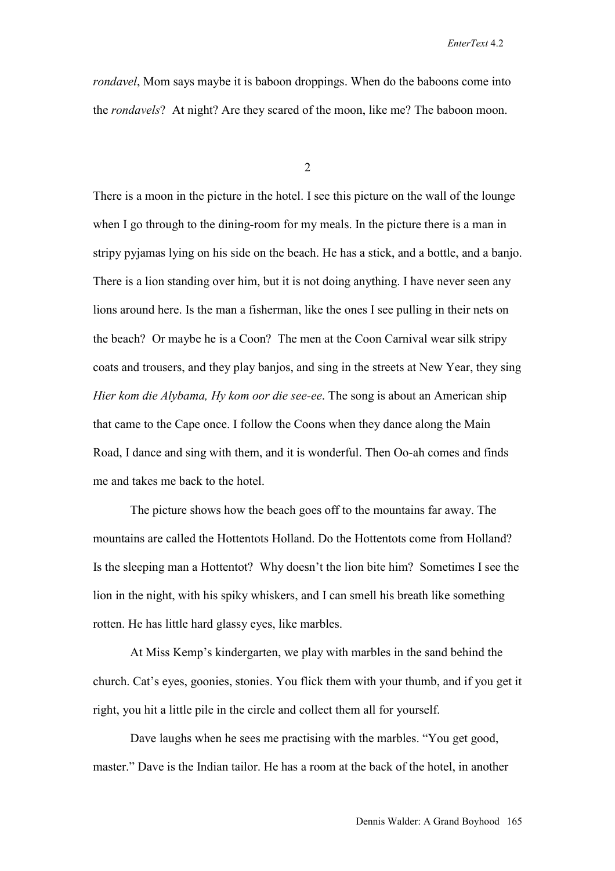*rondavel*, Mom says maybe it is baboon droppings. When do the baboons come into the *rondavels*? At night? Are they scared of the moon, like me? The baboon moon.

2

There is a moon in the picture in the hotel. I see this picture on the wall of the lounge when I go through to the dining-room for my meals. In the picture there is a man in stripy pyjamas lying on his side on the beach. He has a stick, and a bottle, and a banjo. There is a lion standing over him, but it is not doing anything. I have never seen any lions around here. Is the man a fisherman, like the ones I see pulling in their nets on the beach? Or maybe he is a Coon? The men at the Coon Carnival wear silk stripy coats and trousers, and they play banjos, and sing in the streets at New Year, they sing *Hier kom die Alybama, Hy kom oor die see-ee*. The song is about an American ship that came to the Cape once. I follow the Coons when they dance along the Main Road, I dance and sing with them, and it is wonderful. Then Oo-ah comes and finds me and takes me back to the hotel.

The picture shows how the beach goes off to the mountains far away. The mountains are called the Hottentots Holland. Do the Hottentots come from Holland? Is the sleeping man a Hottentot? Why doesn't the lion bite him? Sometimes I see the lion in the night, with his spiky whiskers, and I can smell his breath like something rotten. He has little hard glassy eyes, like marbles.

At Miss Kemp's kindergarten, we play with marbles in the sand behind the church. Cat's eyes, goonies, stonies. You flick them with your thumb, and if you get it right, you hit a little pile in the circle and collect them all for yourself.

Dave laughs when he sees me practising with the marbles. "You get good, master." Dave is the Indian tailor. He has a room at the back of the hotel, in another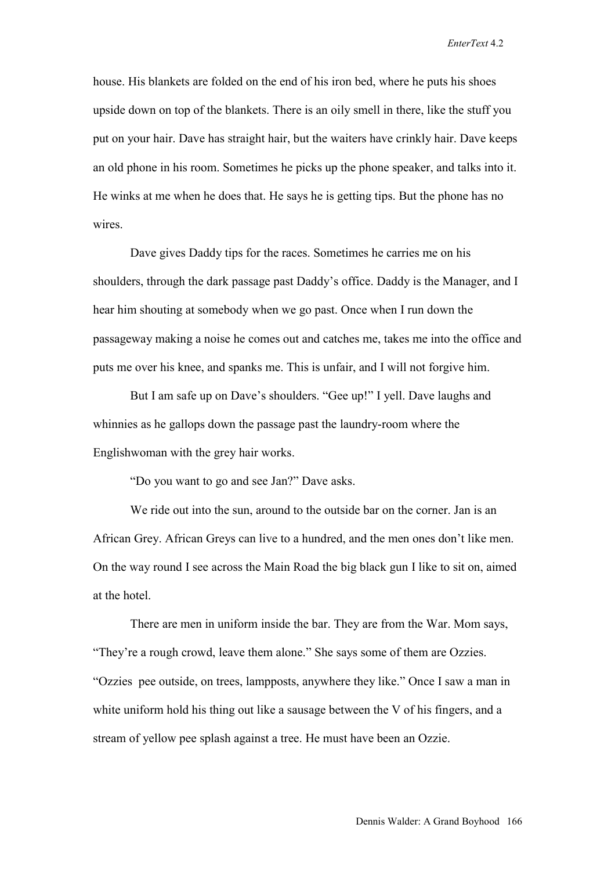house. His blankets are folded on the end of his iron bed, where he puts his shoes upside down on top of the blankets. There is an oily smell in there, like the stuff you put on your hair. Dave has straight hair, but the waiters have crinkly hair. Dave keeps an old phone in his room. Sometimes he picks up the phone speaker, and talks into it. He winks at me when he does that. He says he is getting tips. But the phone has no wires

Dave gives Daddy tips for the races. Sometimes he carries me on his shoulders, through the dark passage past Daddy's office. Daddy is the Manager, and I hear him shouting at somebody when we go past. Once when I run down the passageway making a noise he comes out and catches me, takes me into the office and puts me over his knee, and spanks me. This is unfair, and I will not forgive him.

But I am safe up on Dave's shoulders. "Gee up!" I yell. Dave laughs and whinnies as he gallops down the passage past the laundry-room where the Englishwoman with the grey hair works.

"Do you want to go and see Jan?" Dave asks.

We ride out into the sun, around to the outside bar on the corner. Jan is an African Grey. African Greys can live to a hundred, and the men ones don't like men. On the way round I see across the Main Road the big black gun I like to sit on, aimed at the hotel.

There are men in uniform inside the bar. They are from the War. Mom says, "They're a rough crowd, leave them alone." She says some of them are Ozzies. "Ozzies pee outside, on trees, lampposts, anywhere they like." Once I saw a man in white uniform hold his thing out like a sausage between the V of his fingers, and a stream of yellow pee splash against a tree. He must have been an Ozzie.

Dennis Walder: A Grand Boyhood 166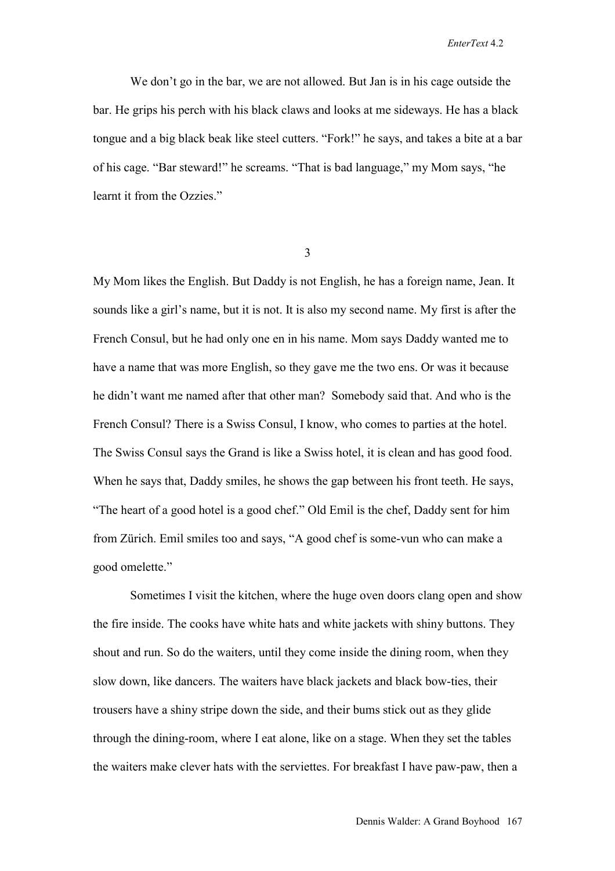We don't go in the bar, we are not allowed. But Jan is in his cage outside the bar. He grips his perch with his black claws and looks at me sideways. He has a black tongue and a big black beak like steel cutters. "Fork!" he says, and takes a bite at a bar of his cage. "Bar steward!" he screams. "That is bad language," my Mom says, "he learnt it from the Ozzies."

3

My Mom likes the English. But Daddy is not English, he has a foreign name, Jean. It sounds like a girl's name, but it is not. It is also my second name. My first is after the French Consul, but he had only one en in his name. Mom says Daddy wanted me to have a name that was more English, so they gave me the two ens. Or was it because he didn't want me named after that other man? Somebody said that. And who is the French Consul? There is a Swiss Consul, I know, who comes to parties at the hotel. The Swiss Consul says the Grand is like a Swiss hotel, it is clean and has good food. When he says that, Daddy smiles, he shows the gap between his front teeth. He says, "The heart of a good hotel is a good chef." Old Emil is the chef, Daddy sent for him from Zürich. Emil smiles too and says, "A good chef is some-vun who can make a good omelette."

Sometimes I visit the kitchen, where the huge oven doors clang open and show the fire inside. The cooks have white hats and white jackets with shiny buttons. They shout and run. So do the waiters, until they come inside the dining room, when they slow down, like dancers. The waiters have black jackets and black bow-ties, their trousers have a shiny stripe down the side, and their bums stick out as they glide through the dining-room, where I eat alone, like on a stage. When they set the tables the waiters make clever hats with the serviettes. For breakfast I have paw-paw, then a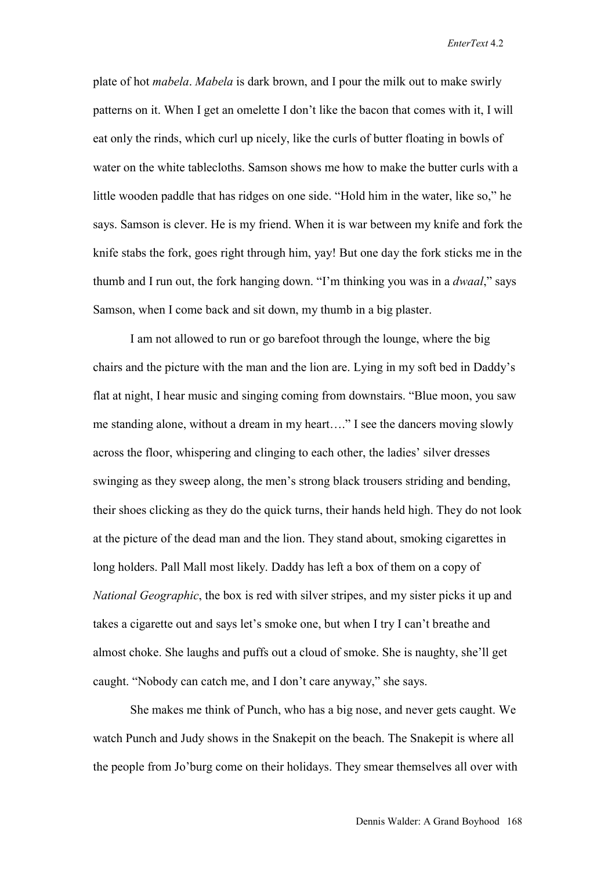plate of hot *mabela*. *Mabela* is dark brown, and I pour the milk out to make swirly patterns on it. When I get an omelette I don't like the bacon that comes with it, I will eat only the rinds, which curl up nicely, like the curls of butter floating in bowls of water on the white tablecloths. Samson shows me how to make the butter curls with a little wooden paddle that has ridges on one side. "Hold him in the water, like so," he says. Samson is clever. He is my friend. When it is war between my knife and fork the knife stabs the fork, goes right through him, yay! But one day the fork sticks me in the thumb and I run out, the fork hanging down. "I'm thinking you was in a *dwaal*," says Samson, when I come back and sit down, my thumb in a big plaster.

I am not allowed to run or go barefoot through the lounge, where the big chairs and the picture with the man and the lion are. Lying in my soft bed in Daddy's flat at night, I hear music and singing coming from downstairs. "Blue moon, you saw me standing alone, without a dream in my heart…." I see the dancers moving slowly across the floor, whispering and clinging to each other, the ladies' silver dresses swinging as they sweep along, the men's strong black trousers striding and bending, their shoes clicking as they do the quick turns, their hands held high. They do not look at the picture of the dead man and the lion. They stand about, smoking cigarettes in long holders. Pall Mall most likely. Daddy has left a box of them on a copy of *National Geographic*, the box is red with silver stripes, and my sister picks it up and takes a cigarette out and says let's smoke one, but when I try I can't breathe and almost choke. She laughs and puffs out a cloud of smoke. She is naughty, she'll get caught. "Nobody can catch me, and I don't care anyway," she says.

She makes me think of Punch, who has a big nose, and never gets caught. We watch Punch and Judy shows in the Snakepit on the beach. The Snakepit is where all the people from Jo'burg come on their holidays. They smear themselves all over with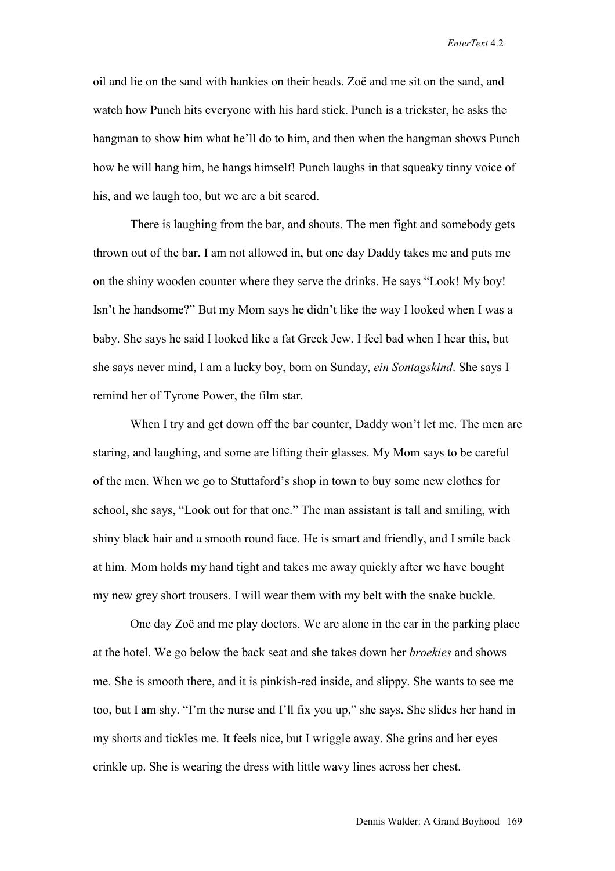oil and lie on the sand with hankies on their heads. Zoë and me sit on the sand, and watch how Punch hits everyone with his hard stick. Punch is a trickster, he asks the hangman to show him what he'll do to him, and then when the hangman shows Punch how he will hang him, he hangs himself! Punch laughs in that squeaky tinny voice of his, and we laugh too, but we are a bit scared.

There is laughing from the bar, and shouts. The men fight and somebody gets thrown out of the bar. I am not allowed in, but one day Daddy takes me and puts me on the shiny wooden counter where they serve the drinks. He says "Look! My boy! Isn't he handsome?" But my Mom says he didn't like the way I looked when I was a baby. She says he said I looked like a fat Greek Jew. I feel bad when I hear this, but she says never mind, I am a lucky boy, born on Sunday, *ein Sontagskind*. She says I remind her of Tyrone Power, the film star.

When I try and get down off the bar counter, Daddy won't let me. The men are staring, and laughing, and some are lifting their glasses. My Mom says to be careful of the men. When we go to Stuttaford's shop in town to buy some new clothes for school, she says, "Look out for that one." The man assistant is tall and smiling, with shiny black hair and a smooth round face. He is smart and friendly, and I smile back at him. Mom holds my hand tight and takes me away quickly after we have bought my new grey short trousers. I will wear them with my belt with the snake buckle.

One day Zoë and me play doctors. We are alone in the car in the parking place at the hotel. We go below the back seat and she takes down her *broekies* and shows me. She is smooth there, and it is pinkish-red inside, and slippy. She wants to see me too, but I am shy. "I'm the nurse and I'll fix you up," she says. She slides her hand in my shorts and tickles me. It feels nice, but I wriggle away. She grins and her eyes crinkle up. She is wearing the dress with little wavy lines across her chest.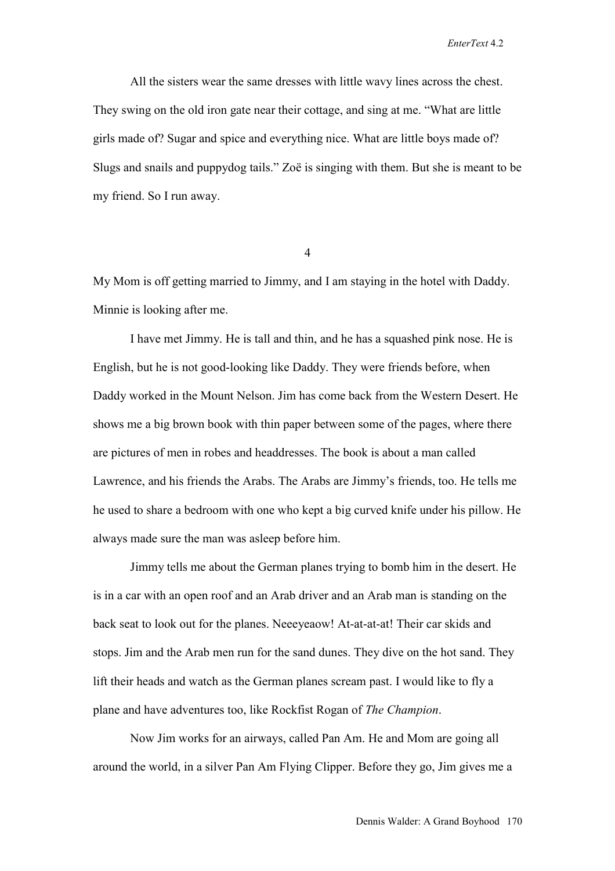All the sisters wear the same dresses with little wavy lines across the chest. They swing on the old iron gate near their cottage, and sing at me. "What are little girls made of? Sugar and spice and everything nice. What are little boys made of? Slugs and snails and puppydog tails." Zoë is singing with them. But she is meant to be my friend. So I run away.

4

My Mom is off getting married to Jimmy, and I am staying in the hotel with Daddy. Minnie is looking after me.

I have met Jimmy. He is tall and thin, and he has a squashed pink nose. He is English, but he is not good-looking like Daddy. They were friends before, when Daddy worked in the Mount Nelson. Jim has come back from the Western Desert. He shows me a big brown book with thin paper between some of the pages, where there are pictures of men in robes and headdresses. The book is about a man called Lawrence, and his friends the Arabs. The Arabs are Jimmy's friends, too. He tells me he used to share a bedroom with one who kept a big curved knife under his pillow. He always made sure the man was asleep before him.

Jimmy tells me about the German planes trying to bomb him in the desert. He is in a car with an open roof and an Arab driver and an Arab man is standing on the back seat to look out for the planes. Neeeyeaow! At-at-at-at! Their car skids and stops. Jim and the Arab men run for the sand dunes. They dive on the hot sand. They lift their heads and watch as the German planes scream past. I would like to fly a plane and have adventures too, like Rockfist Rogan of *The Champion*.

Now Jim works for an airways, called Pan Am. He and Mom are going all around the world, in a silver Pan Am Flying Clipper. Before they go, Jim gives me a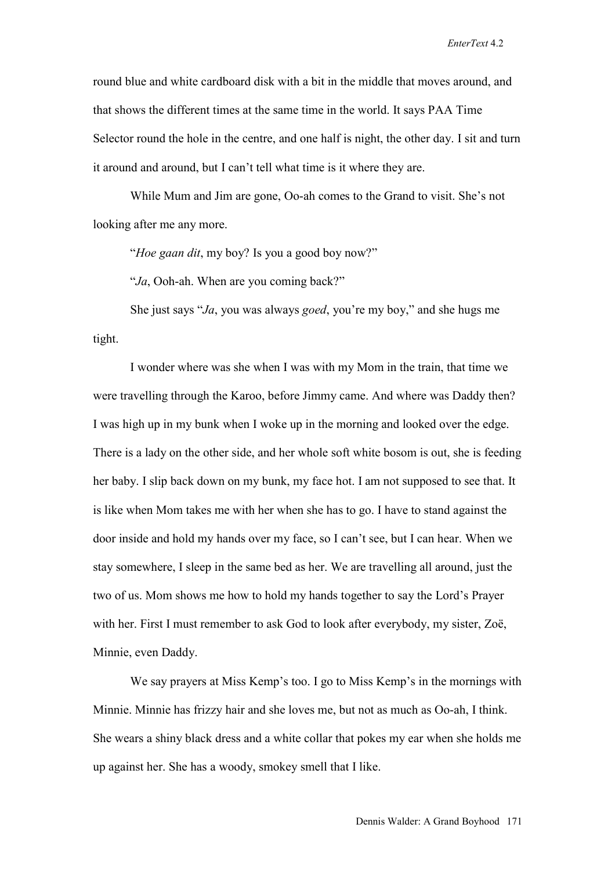round blue and white cardboard disk with a bit in the middle that moves around, and that shows the different times at the same time in the world. It says PAA Time Selector round the hole in the centre, and one half is night, the other day. I sit and turn it around and around, but I can't tell what time is it where they are.

While Mum and Jim are gone, Oo-ah comes to the Grand to visit. She's not looking after me any more.

"*Hoe gaan dit*, my boy? Is you a good boy now?"

"*Ja*, Ooh-ah. When are you coming back?"

She just says "*Ja*, you was always *goed*, you're my boy," and she hugs me tight.

I wonder where was she when I was with my Mom in the train, that time we were travelling through the Karoo, before Jimmy came. And where was Daddy then? I was high up in my bunk when I woke up in the morning and looked over the edge. There is a lady on the other side, and her whole soft white bosom is out, she is feeding her baby. I slip back down on my bunk, my face hot. I am not supposed to see that. It is like when Mom takes me with her when she has to go. I have to stand against the door inside and hold my hands over my face, so I can't see, but I can hear. When we stay somewhere, I sleep in the same bed as her. We are travelling all around, just the two of us. Mom shows me how to hold my hands together to say the Lord's Prayer with her. First I must remember to ask God to look after everybody, my sister, Zoë, Minnie, even Daddy.

We say prayers at Miss Kemp's too. I go to Miss Kemp's in the mornings with Minnie. Minnie has frizzy hair and she loves me, but not as much as Oo-ah, I think. She wears a shiny black dress and a white collar that pokes my ear when she holds me up against her. She has a woody, smokey smell that I like.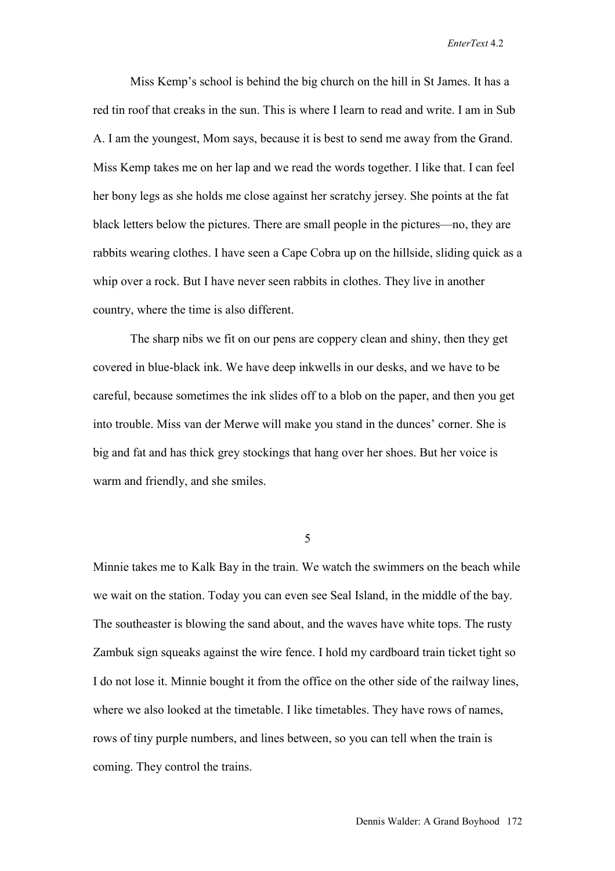Miss Kemp's school is behind the big church on the hill in St James. It has a red tin roof that creaks in the sun. This is where I learn to read and write. I am in Sub A. I am the youngest, Mom says, because it is best to send me away from the Grand. Miss Kemp takes me on her lap and we read the words together. I like that. I can feel her bony legs as she holds me close against her scratchy jersey. She points at the fat black letters below the pictures. There are small people in the pictures—no, they are rabbits wearing clothes. I have seen a Cape Cobra up on the hillside, sliding quick as a whip over a rock. But I have never seen rabbits in clothes. They live in another country, where the time is also different.

The sharp nibs we fit on our pens are coppery clean and shiny, then they get covered in blue-black ink. We have deep inkwells in our desks, and we have to be careful, because sometimes the ink slides off to a blob on the paper, and then you get into trouble. Miss van der Merwe will make you stand in the dunces' corner. She is big and fat and has thick grey stockings that hang over her shoes. But her voice is warm and friendly, and she smiles.

5

Minnie takes me to Kalk Bay in the train. We watch the swimmers on the beach while we wait on the station. Today you can even see Seal Island, in the middle of the bay. The southeaster is blowing the sand about, and the waves have white tops. The rusty Zambuk sign squeaks against the wire fence. I hold my cardboard train ticket tight so I do not lose it. Minnie bought it from the office on the other side of the railway lines, where we also looked at the timetable. I like timetables. They have rows of names, rows of tiny purple numbers, and lines between, so you can tell when the train is coming. They control the trains.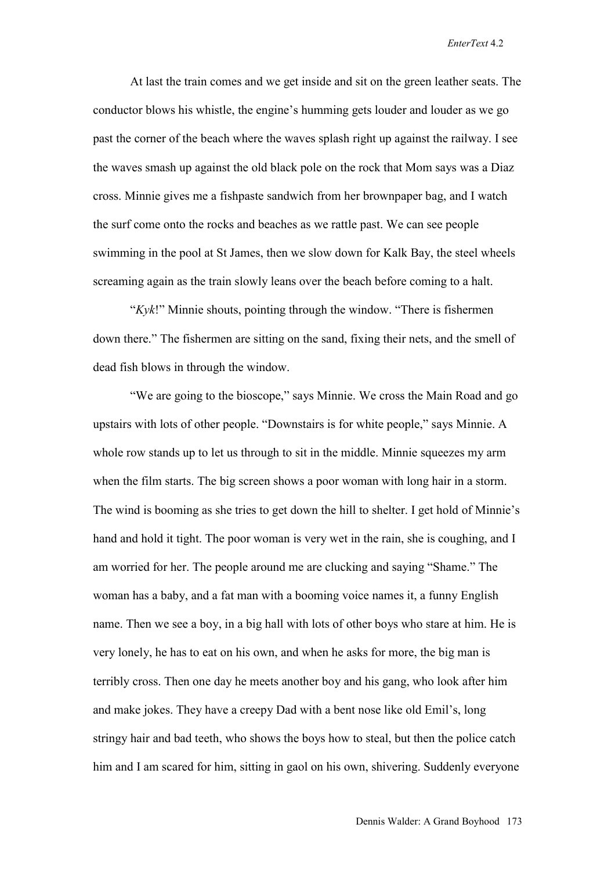At last the train comes and we get inside and sit on the green leather seats. The conductor blows his whistle, the engine's humming gets louder and louder as we go past the corner of the beach where the waves splash right up against the railway. I see the waves smash up against the old black pole on the rock that Mom says was a Diaz cross. Minnie gives me a fishpaste sandwich from her brownpaper bag, and I watch the surf come onto the rocks and beaches as we rattle past. We can see people swimming in the pool at St James, then we slow down for Kalk Bay, the steel wheels screaming again as the train slowly leans over the beach before coming to a halt.

"*Kyk*!" Minnie shouts, pointing through the window. "There is fishermen down there." The fishermen are sitting on the sand, fixing their nets, and the smell of dead fish blows in through the window.

"We are going to the bioscope," says Minnie. We cross the Main Road and go upstairs with lots of other people. "Downstairs is for white people," says Minnie. A whole row stands up to let us through to sit in the middle. Minnie squeezes my arm when the film starts. The big screen shows a poor woman with long hair in a storm. The wind is booming as she tries to get down the hill to shelter. I get hold of Minnie's hand and hold it tight. The poor woman is very wet in the rain, she is coughing, and I am worried for her. The people around me are clucking and saying "Shame." The woman has a baby, and a fat man with a booming voice names it, a funny English name. Then we see a boy, in a big hall with lots of other boys who stare at him. He is very lonely, he has to eat on his own, and when he asks for more, the big man is terribly cross. Then one day he meets another boy and his gang, who look after him and make jokes. They have a creepy Dad with a bent nose like old Emil's, long stringy hair and bad teeth, who shows the boys how to steal, but then the police catch him and I am scared for him, sitting in gaol on his own, shivering. Suddenly everyone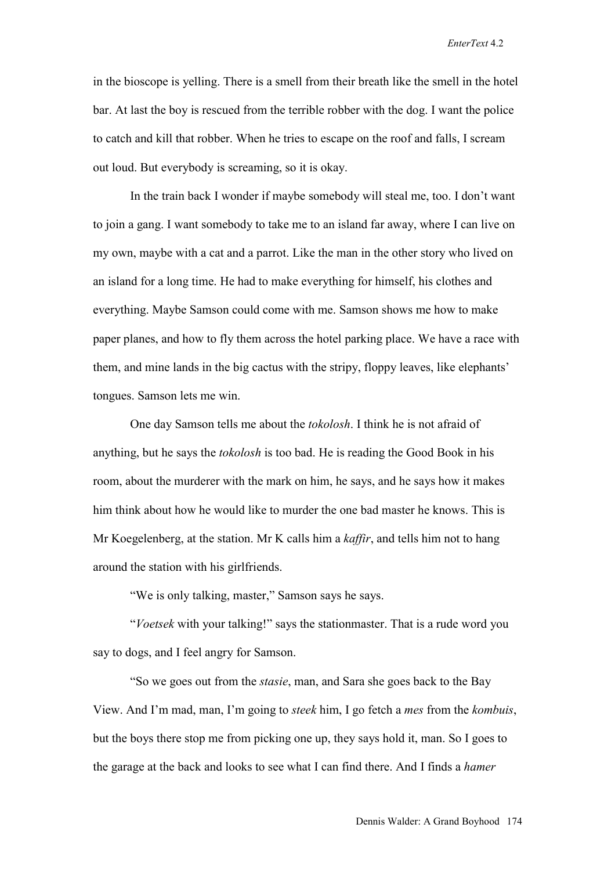in the bioscope is yelling. There is a smell from their breath like the smell in the hotel bar. At last the boy is rescued from the terrible robber with the dog. I want the police to catch and kill that robber. When he tries to escape on the roof and falls, I scream out loud. But everybody is screaming, so it is okay.

In the train back I wonder if maybe somebody will steal me, too. I don't want to join a gang. I want somebody to take me to an island far away, where I can live on my own, maybe with a cat and a parrot. Like the man in the other story who lived on an island for a long time. He had to make everything for himself, his clothes and everything. Maybe Samson could come with me. Samson shows me how to make paper planes, and how to fly them across the hotel parking place. We have a race with them, and mine lands in the big cactus with the stripy, floppy leaves, like elephants' tongues. Samson lets me win.

One day Samson tells me about the *tokolosh*. I think he is not afraid of anything, but he says the *tokolosh* is too bad. He is reading the Good Book in his room, about the murderer with the mark on him, he says, and he says how it makes him think about how he would like to murder the one bad master he knows. This is Mr Koegelenberg, at the station. Mr K calls him a *kaffir*, and tells him not to hang around the station with his girlfriends.

"We is only talking, master," Samson says he says.

"*Voetsek* with your talking!" says the stationmaster. That is a rude word you say to dogs, and I feel angry for Samson.

"So we goes out from the *stasie*, man, and Sara she goes back to the Bay View. And I'm mad, man, I'm going to *steek* him, I go fetch a *mes* from the *kombuis*, but the boys there stop me from picking one up, they says hold it, man. So I goes to the garage at the back and looks to see what I can find there. And I finds a *hamer*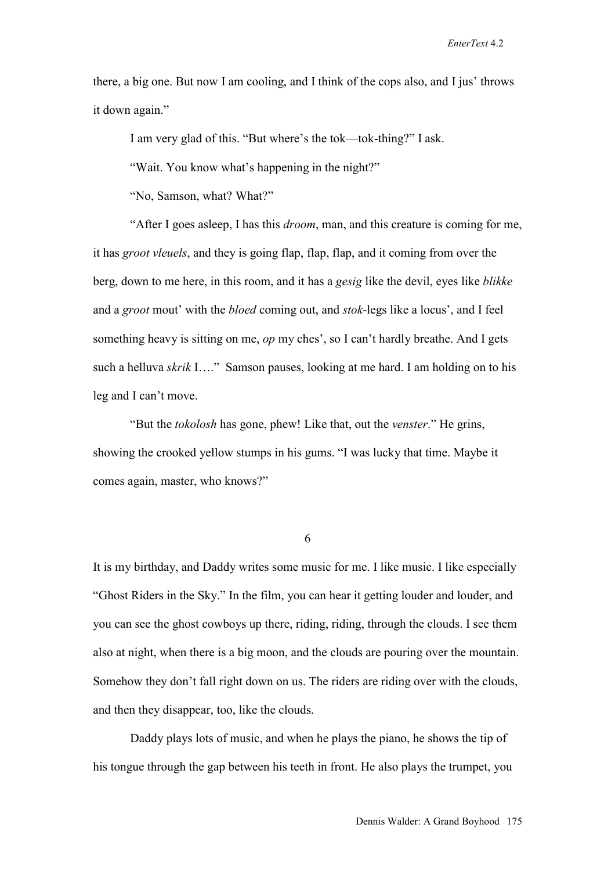there, a big one. But now I am cooling, and I think of the cops also, and I jus' throws it down again."

I am very glad of this. "But where's the tok—tok-thing?" I ask.

"Wait. You know what's happening in the night?"

"No, Samson, what? What?"

"After I goes asleep, I has this *droom*, man, and this creature is coming for me, it has *groot vleuels*, and they is going flap, flap, flap, and it coming from over the berg, down to me here, in this room, and it has a *gesig* like the devil, eyes like *blikke* and a *groot* mout' with the *bloed* coming out, and *stok*-legs like a locus', and I feel something heavy is sitting on me, *op* my ches', so I can't hardly breathe. And I gets such a helluva *skrik* I…." Samson pauses, looking at me hard. I am holding on to his leg and I can't move.

"But the *tokolosh* has gone, phew! Like that, out the *venster*." He grins, showing the crooked yellow stumps in his gums. "I was lucky that time. Maybe it comes again, master, who knows?"

6

It is my birthday, and Daddy writes some music for me. I like music. I like especially "Ghost Riders in the Sky." In the film, you can hear it getting louder and louder, and you can see the ghost cowboys up there, riding, riding, through the clouds. I see them also at night, when there is a big moon, and the clouds are pouring over the mountain. Somehow they don't fall right down on us. The riders are riding over with the clouds, and then they disappear, too, like the clouds.

Daddy plays lots of music, and when he plays the piano, he shows the tip of his tongue through the gap between his teeth in front. He also plays the trumpet, you